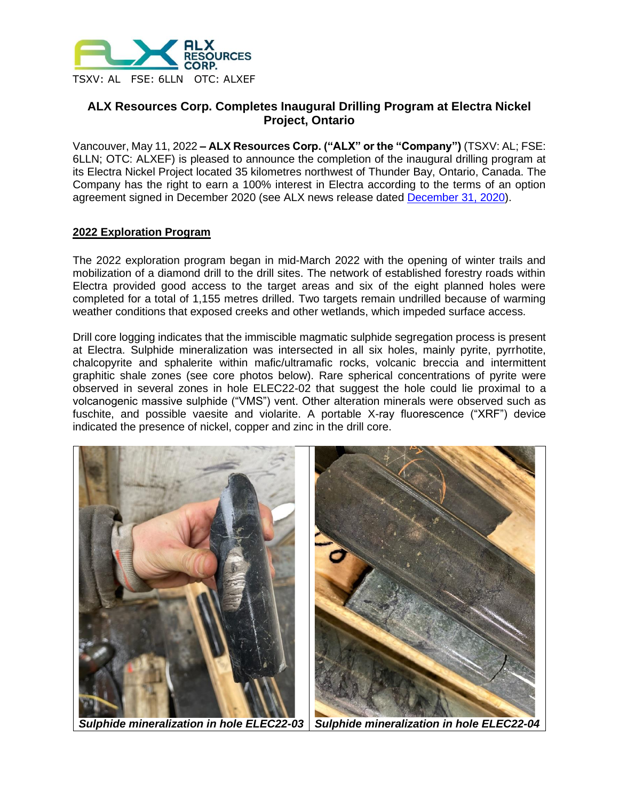

# **ALX Resources Corp. Completes Inaugural Drilling Program at Electra Nickel Project, Ontario**

Vancouver, May 11, 2022 **– ALX Resources Corp. ("ALX" or the "Company")** (TSXV: AL; FSE: 6LLN; OTC: ALXEF) is pleased to announce the completion of the inaugural drilling program at its Electra Nickel Project located 35 kilometres northwest of Thunder Bay, Ontario, Canada. The Company has the right to earn a 100% interest in Electra according to the terms of an option agreement signed in December 2020 (see ALX news release dated [December 31, 2020\)](https://www.alxresources.com/news/alx-resources-corp-signs-definitive-agreement-for-electra-nickel-project-in-ontario).

# **2022 Exploration Program**

The 2022 exploration program began in mid-March 2022 with the opening of winter trails and mobilization of a diamond drill to the drill sites. The network of established forestry roads within Electra provided good access to the target areas and six of the eight planned holes were completed for a total of 1,155 metres drilled. Two targets remain undrilled because of warming weather conditions that exposed creeks and other wetlands, which impeded surface access.

Drill core logging indicates that the immiscible magmatic sulphide segregation process is present at Electra. Sulphide mineralization was intersected in all six holes, mainly pyrite, pyrrhotite, chalcopyrite and sphalerite within mafic/ultramafic rocks, volcanic breccia and intermittent graphitic shale zones (see core photos below). Rare spherical concentrations of pyrite were observed in several zones in hole ELEC22-02 that suggest the hole could lie proximal to a volcanogenic massive sulphide ("VMS") vent. Other alteration minerals were observed such as fuschite, and possible vaesite and violarite. A portable X-ray fluorescence ("XRF") device indicated the presence of nickel, copper and zinc in the drill core.

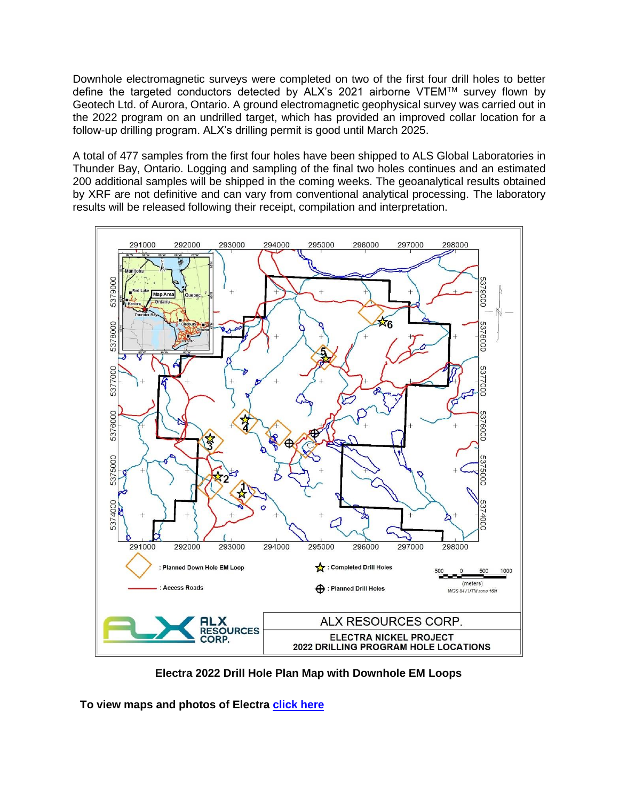Downhole electromagnetic surveys were completed on two of the first four drill holes to better define the targeted conductors detected by ALX's 2021 airborne VTEMTM survey flown by Geotech Ltd. of Aurora, Ontario. A ground electromagnetic geophysical survey was carried out in the 2022 program on an undrilled target, which has provided an improved collar location for a follow-up drilling program. ALX's drilling permit is good until March 2025.

A total of 477 samples from the first four holes have been shipped to ALS Global Laboratories in Thunder Bay, Ontario. Logging and sampling of the final two holes continues and an estimated 200 additional samples will be shipped in the coming weeks. The geoanalytical results obtained by XRF are not definitive and can vary from conventional analytical processing. The laboratory results will be released following their receipt, compilation and interpretation.



**Electra 2022 Drill Hole Plan Map with Downhole EM Loops**

**To view maps and photos of Electra [click here](https://alxresources.com/projects/energy-metals/electra-nickel)**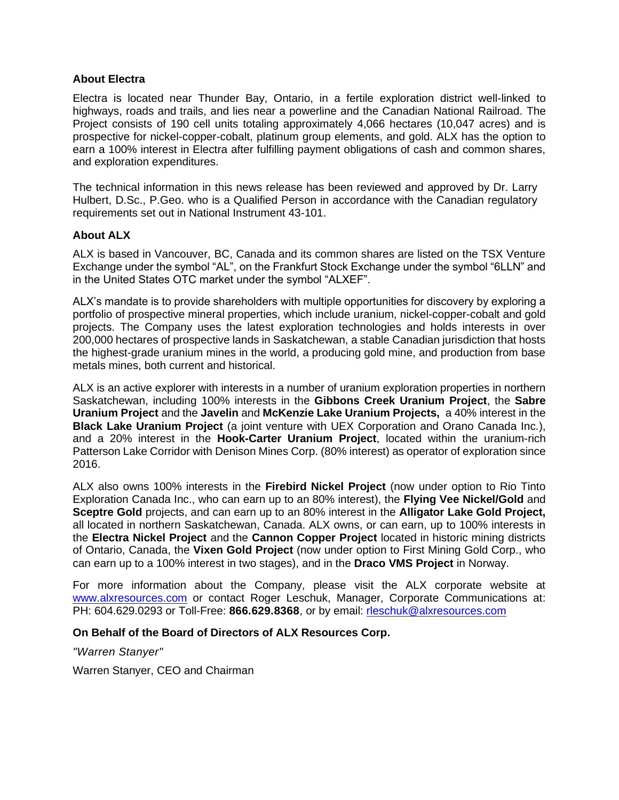### **About Electra**

Electra is located near Thunder Bay, Ontario, in a fertile exploration district well-linked to highways, roads and trails, and lies near a powerline and the Canadian National Railroad. The Project consists of 190 cell units totaling approximately 4,066 hectares (10,047 acres) and is prospective for nickel-copper-cobalt, platinum group elements, and gold. ALX has the option to earn a 100% interest in Electra after fulfilling payment obligations of cash and common shares, and exploration expenditures.

The technical information in this news release has been reviewed and approved by Dr. Larry Hulbert, D.Sc., P.Geo. who is a Qualified Person in accordance with the Canadian regulatory requirements set out in National Instrument 43-101.

## **About ALX**

ALX is based in Vancouver, BC, Canada and its common shares are listed on the TSX Venture Exchange under the symbol "AL", on the Frankfurt Stock Exchange under the symbol "6LLN" and in the United States OTC market under the symbol "ALXEF".

ALX's mandate is to provide shareholders with multiple opportunities for discovery by exploring a portfolio of prospective mineral properties, which include uranium, nickel-copper-cobalt and gold projects. The Company uses the latest exploration technologies and holds interests in over 200,000 hectares of prospective lands in Saskatchewan, a stable Canadian jurisdiction that hosts the highest-grade uranium mines in the world, a producing gold mine, and production from base metals mines, both current and historical.

ALX is an active explorer with interests in a number of uranium exploration properties in northern Saskatchewan, including 100% interests in the **Gibbons Creek Uranium Project**, the **Sabre Uranium Project** and the **Javelin** and **McKenzie Lake Uranium Projects,** a 40% interest in the **Black Lake Uranium Project** (a joint venture with UEX Corporation and Orano Canada Inc.), and a 20% interest in the **Hook-Carter Uranium Project**, located within the uranium-rich Patterson Lake Corridor with Denison Mines Corp. (80% interest) as operator of exploration since 2016.

ALX also owns 100% interests in the **Firebird Nickel Project** (now under option to Rio Tinto Exploration Canada Inc., who can earn up to an 80% interest), the **Flying Vee Nickel/Gold** and **Sceptre Gold** projects, and can earn up to an 80% interest in the **Alligator Lake Gold Project,**  all located in northern Saskatchewan, Canada. ALX owns, or can earn, up to 100% interests in the **Electra Nickel Project** and the **Cannon Copper Project** located in historic mining districts of Ontario, Canada, the **Vixen Gold Project** (now under option to First Mining Gold Corp., who can earn up to a 100% interest in two stages), and in the **Draco VMS Project** in Norway.

For more information about the Company, please visit the ALX corporate website at [www.alxresources.com](http://www.alxresources.com/) or contact Roger Leschuk, Manager, Corporate Communications at: PH: 604.629.0293 or Toll-Free: **866.629.8368**, or by email: [rleschuk@alxresources.com](mailto:rleschuk@alxresources.com)

### **On Behalf of the Board of Directors of ALX Resources Corp.**

*"Warren Stanyer"*

Warren Stanyer, CEO and Chairman